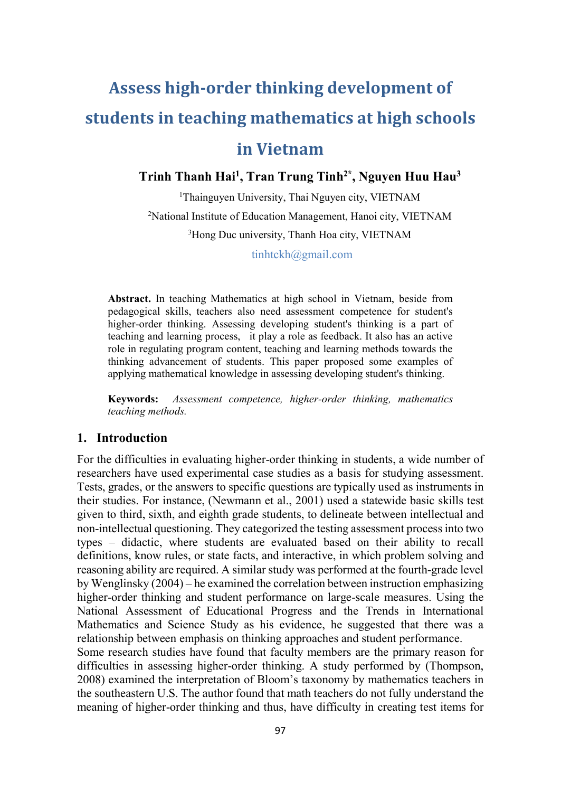# Assess high-order thinking development of students in teaching mathematics at high schools in Vietnam

Trinh Thanh Hai<sup>1</sup>, Tran Trung Tinh<sup>2\*</sup>, Nguyen Huu Hau<sup>3</sup>

<sup>1</sup>Thainguyen University, Thai Nguyen city, VIETNAM <sup>2</sup>National Institute of Education Management, Hanoi city, VIETNAM <sup>3</sup>Hong Duc university, Thanh Hoa city, VIETNAM tinhtckh@gmail.com

Abstract. In teaching Mathematics at high school in Vietnam, beside from pedagogical skills, teachers also need assessment competence for student's higher-order thinking. Assessing developing student's thinking is a part of teaching and learning process, it play a role as feedback. It also has an active role in regulating program content, teaching and learning methods towards the thinking advancement of students. This paper proposed some examples of applying mathematical knowledge in assessing developing student's thinking.

Keywords: Assessment competence, higher-order thinking, mathematics teaching methods.

#### 1. Introduction

For the difficulties in evaluating higher-order thinking in students, a wide number of researchers have used experimental case studies as a basis for studying assessment. Tests, grades, or the answers to specific questions are typically used as instruments in their studies. For instance, (Newmann et al., 2001) used a statewide basic skills test given to third, sixth, and eighth grade students, to delineate between intellectual and non-intellectual questioning. They categorized the testing assessment process into two types – didactic, where students are evaluated based on their ability to recall definitions, know rules, or state facts, and interactive, in which problem solving and reasoning ability are required. A similar study was performed at the fourth-grade level by Wenglinsky (2004) – he examined the correlation between instruction emphasizing higher-order thinking and student performance on large-scale measures. Using the National Assessment of Educational Progress and the Trends in International Mathematics and Science Study as his evidence, he suggested that there was a relationship between emphasis on thinking approaches and student performance.

Some research studies have found that faculty members are the primary reason for difficulties in assessing higher-order thinking. A study performed by (Thompson, 2008) examined the interpretation of Bloom's taxonomy by mathematics teachers in the southeastern U.S. The author found that math teachers do not fully understand the meaning of higher-order thinking and thus, have difficulty in creating test items for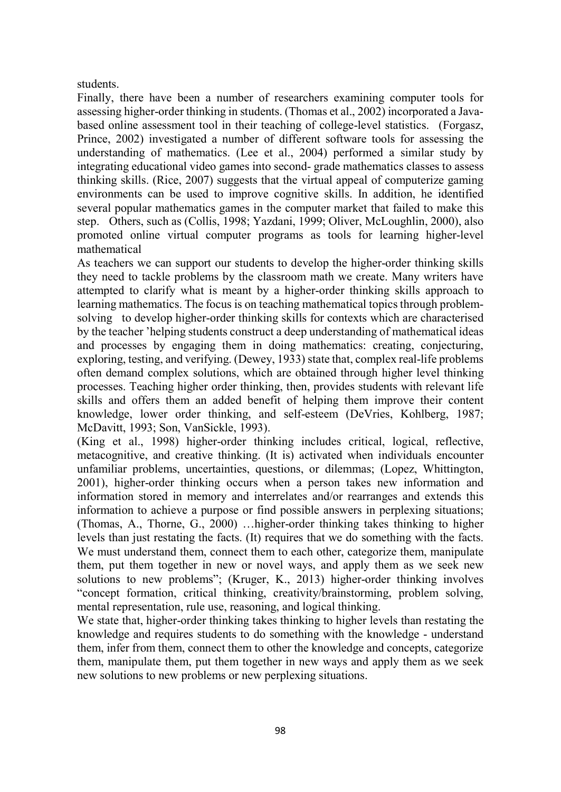## students.

Finally, there have been a number of researchers examining computer tools for assessing higher-order thinking in students. (Thomas et al., 2002) incorporated a Javabased online assessment tool in their teaching of college-level statistics. (Forgasz, Prince, 2002) investigated a number of different software tools for assessing the understanding of mathematics. (Lee et al., 2004) performed a similar study by integrating educational video games into second- grade mathematics classes to assess thinking skills. (Rice, 2007) suggests that the virtual appeal of computerize gaming environments can be used to improve cognitive skills. In addition, he identified several popular mathematics games in the computer market that failed to make this step. Others, such as (Collis, 1998; Yazdani, 1999; Oliver, McLoughlin, 2000), also promoted online virtual computer programs as tools for learning higher-level mathematical

As teachers we can support our students to develop the higher-order thinking skills they need to tackle problems by the classroom math we create. Many writers have attempted to clarify what is meant by a higher-order thinking skills approach to learning mathematics. The focus is on teaching mathematical topics through problemsolving to develop higher-order thinking skills for contexts which are characterised by the teacher 'helping students construct a deep understanding of mathematical ideas and processes by engaging them in doing mathematics: creating, conjecturing, exploring, testing, and verifying. (Dewey, 1933) state that, complex real-life problems often demand complex solutions, which are obtained through higher level thinking processes. Teaching higher order thinking, then, provides students with relevant life skills and offers them an added benefit of helping them improve their content knowledge, lower order thinking, and self-esteem (DeVries, Kohlberg, 1987; McDavitt, 1993; Son, VanSickle, 1993).

(King et al., 1998) higher-order thinking includes critical, logical, reflective, metacognitive, and creative thinking. (It is) activated when individuals encounter unfamiliar problems, uncertainties, questions, or dilemmas; (Lopez, Whittington, 2001), higher-order thinking occurs when a person takes new information and information stored in memory and interrelates and/or rearranges and extends this information to achieve a purpose or find possible answers in perplexing situations; (Thomas, A., Thorne, G., 2000) …higher-order thinking takes thinking to higher levels than just restating the facts. (It) requires that we do something with the facts. We must understand them, connect them to each other, categorize them, manipulate them, put them together in new or novel ways, and apply them as we seek new solutions to new problems"; (Kruger, K., 2013) higher-order thinking involves "concept formation, critical thinking, creativity/brainstorming, problem solving, mental representation, rule use, reasoning, and logical thinking.

We state that, higher-order thinking takes thinking to higher levels than restating the knowledge and requires students to do something with the knowledge - understand them, infer from them, connect them to other the knowledge and concepts, categorize them, manipulate them, put them together in new ways and apply them as we seek new solutions to new problems or new perplexing situations.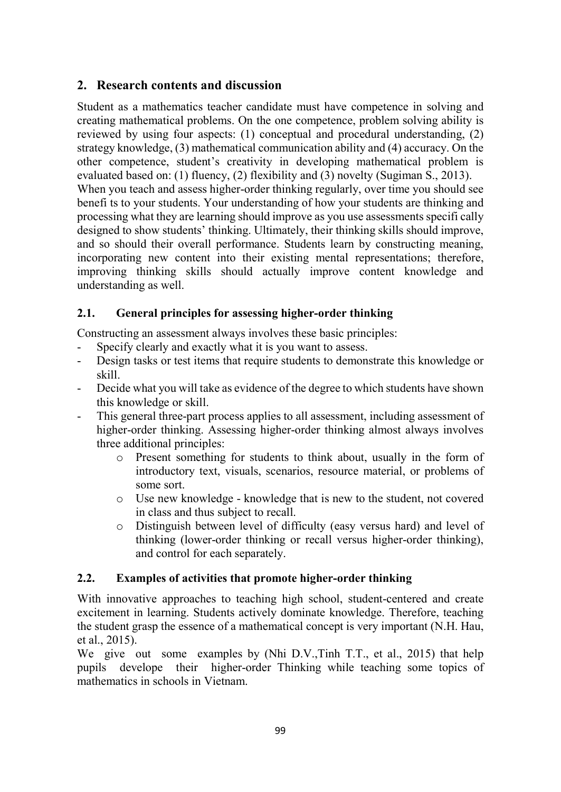# 2. Research contents and discussion

Student as a mathematics teacher candidate must have competence in solving and creating mathematical problems. On the one competence, problem solving ability is reviewed by using four aspects: (1) conceptual and procedural understanding, (2) strategy knowledge, (3) mathematical communication ability and (4) accuracy. On the other competence, student's creativity in developing mathematical problem is evaluated based on: (1) fluency, (2) flexibility and (3) novelty (Sugiman S., 2013). When you teach and assess higher-order thinking regularly, over time you should see benefi ts to your students. Your understanding of how your students are thinking and processing what they are learning should improve as you use assessments specifi cally designed to show students' thinking. Ultimately, their thinking skills should improve, and so should their overall performance. Students learn by constructing meaning, incorporating new content into their existing mental representations; therefore, improving thinking skills should actually improve content knowledge and understanding as well.

# 2.1. General principles for assessing higher-order thinking

Constructing an assessment always involves these basic principles:

- Specify clearly and exactly what it is you want to assess.
- Design tasks or test items that require students to demonstrate this knowledge or skill.
- Decide what you will take as evidence of the degree to which students have shown this knowledge or skill.
- This general three-part process applies to all assessment, including assessment of higher-order thinking. Assessing higher-order thinking almost always involves three additional principles:
	- o Present something for students to think about, usually in the form of introductory text, visuals, scenarios, resource material, or problems of some sort.
	- o Use new knowledge knowledge that is new to the student, not covered in class and thus subject to recall.
	- o Distinguish between level of difficulty (easy versus hard) and level of thinking (lower-order thinking or recall versus higher-order thinking), and control for each separately.

# 2.2. Examples of activities that promote higher-order thinking

With innovative approaches to teaching high school, student-centered and create excitement in learning. Students actively dominate knowledge. Therefore, teaching the student grasp the essence of a mathematical concept is very important (N.H. Hau, et al., 2015).

We give out some examples by (Nhi D.V.,Tinh T.T., et al., 2015) that help pupils develope their higher-order Thinking while teaching some topics of mathematics in schools in Vietnam.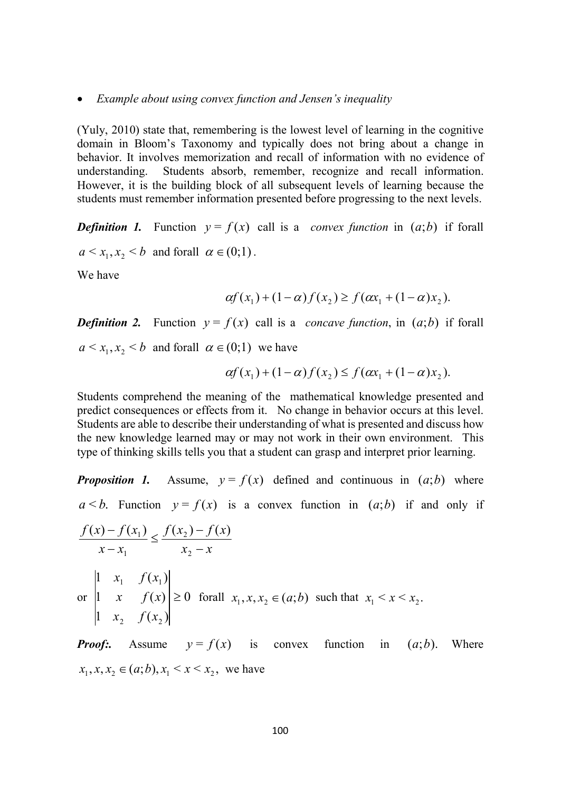#### • Example about using convex function and Jensen's inequality

(Yuly, 2010) state that, remembering is the lowest level of learning in the cognitive domain in Bloom's Taxonomy and typically does not bring about a change in behavior. It involves memorization and recall of information with no evidence of understanding. Students absorb, remember, recognize and recall information. However, it is the building block of all subsequent levels of learning because the students must remember information presented before progressing to the next levels.

**Definition 1.** Function  $y = f(x)$  call is a *convex function* in  $(a,b)$  if forall  $a < x_1, x_2 < b$  and forall  $\alpha \in (0,1)$ .

We have

$$
\alpha f(x_1) + (1 - \alpha) f(x_2) \ge f(\alpha x_1 + (1 - \alpha) x_2).
$$

**Definition 2.** Function  $y = f(x)$  call is a *concave function*, in  $(a,b)$  if forall  $a \le x_1, x_2 \le b$  and forall  $\alpha \in (0,1)$  we have

$$
\alpha f(x_1) + (1 - \alpha) f(x_2) \le f(\alpha x_1 + (1 - \alpha) x_2).
$$

Students comprehend the meaning of the mathematical knowledge presented and predict consequences or effects from it. No change in behavior occurs at this level. Students are able to describe their understanding of what is presented and discuss how the new knowledge learned may or may not work in their own environment. This type of thinking skills tells you that a student can grasp and interpret prior learning.

**Proposition 1.** Assume,  $y = f(x)$  defined and continuous in  $(a,b)$  where  $a < b$ . Function  $y = f(x)$  is a convex function in  $(a,b)$  if and only if

$$
\frac{f(x) - f(x_1)}{x - x_1} \le \frac{f(x_2) - f(x)}{x_2 - x}
$$
\n
$$
\text{or } \begin{vmatrix} 1 & x_1 & f(x_1) \\ 1 & x & f(x) \\ 1 & x_2 & f(x_2) \end{vmatrix} \ge 0 \quad \text{for all } x_1, x, x_2 \in (a; b) \text{ such that } x_1 < x < x_2.
$$

**Proof:.** Assume  $y = f(x)$  is convex function in  $(a,b)$ . Where  $x_1, x, x_2 \in (a;b), x_1 \le x \le x_2$ , we have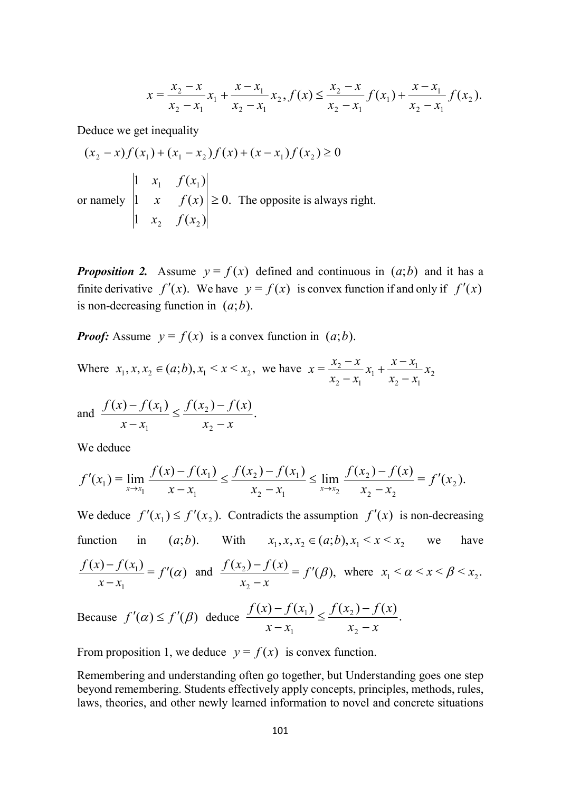$$
x = \frac{x_2 - x}{x_2 - x_1} x_1 + \frac{x - x_1}{x_2 - x_1} x_2, f(x) \le \frac{x_2 - x}{x_2 - x_1} f(x_1) + \frac{x - x_1}{x_2 - x_1} f(x_2).
$$

Deduce we get inequality

$$
(x_2 - x)f(x_1) + (x_1 - x_2)f(x) + (x - x_1)f(x_2) \ge 0
$$
  
\n
$$
\begin{vmatrix}\n1 & x_1 & f(x_1) \\
1 & x & f(x) \\
1 & x_2 & f(x_2)\n\end{vmatrix} \ge 0.
$$
 The opposite is always right.

**Proposition 2.** Assume  $y = f(x)$  defined and continuous in  $(a,b)$  and it has a finite derivative  $f'(x)$ . We have  $y = f(x)$  is convex function if and only if  $f'(x)$ is non-decreasing function in  $(a;b)$ .

**Proof:** Assume  $y = f(x)$  is a convex function in  $(a,b)$ .

Where  $x_1, x, x_2 \in (a; b), x_1 \le x \le x_2$ , we have  $x = \frac{x_2 - x}{x_1 + x_2 + x_1} x_2$ 2  $\mathcal{N}_1$  $\frac{x}{1} + \frac{x}{1}$ 2  $\lambda_1$  $=\frac{x_2}{x_1}x_1+\frac{x-x_1}{x_2}x_2$  $x_2 - x_1$  $x_1 + \frac{x - x_1}{x_1 + x_2 + x_3}$  $x_2 - x_1$  $x = \frac{x_2 - x}{x_2 - x}$  $\overline{\phantom{0}}$  $+\frac{x-}{x}$  $\overline{\phantom{0}}$  $\overline{\phantom{0}}$ 

and 
$$
\frac{f(x) - f(x_1)}{x - x_1} \le \frac{f(x_2) - f(x)}{x_2 - x}.
$$

We deduce

$$
f'(x_1) = \lim_{x \to x_1} \frac{f(x) - f(x_1)}{x - x_1} \le \frac{f(x_2) - f(x_1)}{x_2 - x_1} \le \lim_{x \to x_2} \frac{f(x_2) - f(x)}{x_2 - x_2} = f'(x_2).
$$

We deduce  $f'(x_1) \le f'(x_2)$ . Contradicts the assumption  $f'(x)$  is non-decreasing function in  $(a;b)$ . With  $x_1, x, x_2 \in (a;b), x_1 \le x \le x_2$  we have  $\frac{(x)-f(x_1)}{g(x_1)} = f'(a)$ 1  $\frac{11}{2} = f'(\alpha)$  $x - x_1$  $\frac{f(x)-f(x_1)}{f(x_1)} = f'$  $\equiv$  $\frac{-f(x_1)}{f'(x_1)} = f'(x)$  and  $\frac{f(x_2) - f(x)}{f'(x_1)} = f'(\beta),$ 2  $\frac{2^{j} J(x)}{j(x)} = f'(\beta)$  $x_2 - x$  $\frac{f(x_2) - f(x)}{g(x_2) - f'(x)} = f''(x)$  $\frac{-f(x)}{-x} = f'(\beta)$ , where  $x_1 < \alpha < x < \beta < x_2$ .

Because 
$$
f'(\alpha) \le f'(\beta)
$$
 deduce  $\frac{f(x) - f(x_1)}{x - x_1} \le \frac{f(x_2) - f(x)}{x_2 - x}$ .

From proposition 1, we deduce  $y = f(x)$  is convex function.

Remembering and understanding often go together, but Understanding goes one step beyond remembering. Students effectively apply concepts, principles, methods, rules, laws, theories, and other newly learned information to novel and concrete situations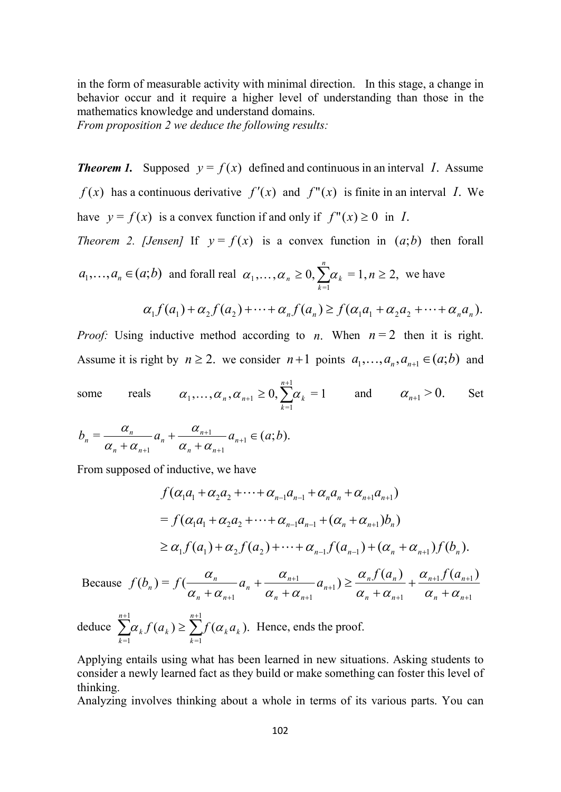in the form of measurable activity with minimal direction. In this stage, a change in behavior occur and it require a higher level of understanding than those in the mathematics knowledge and understand domains.

From proposition 2 we deduce the following results:

**Theorem 1.** Supposed  $y = f(x)$  defined and continuous in an interval I. Assume  $f(x)$  has a continuous derivative  $f'(x)$  and  $f''(x)$  is finite in an interval I. We have  $y = f(x)$  is a convex function if and only if  $f''(x) \ge 0$  in I.

Theorem 2. [Jensen] If  $y = f(x)$  is a convex function in  $(a,b)$  then forall

$$
a_1, \dots, a_n \in (a; b) \text{ and for all real } \alpha_1, \dots, \alpha_n \ge 0, \sum_{k=1}^n \alpha_k = 1, n \ge 2, \text{ we have}
$$

$$
\alpha_1 f(a_1) + \alpha_2 f(a_2) + \dots + \alpha_n f(a_n) \ge f(\alpha_1 a_1 + \alpha_2 a_2 + \dots + \alpha_n a_n).
$$

*Proof:* Using inductive method according to *n*. When  $n = 2$  then it is right. Assume it is right by  $n \ge 2$ . we consider  $n+1$  points  $a_1, \ldots, a_n, a_{n+1} \in (a;b)$  and

some reals 
$$
\alpha_1, ..., \alpha_n, \alpha_{n+1} \ge 0
$$
,  $\sum_{k=1}^{n+1} \alpha_k = 1$  and  $\alpha_{n+1} > 0$ . Set

$$
b_n = \frac{\alpha_n}{\alpha_n + \alpha_{n+1}} a_n + \frac{\alpha_{n+1}}{\alpha_n + \alpha_{n+1}} a_{n+1} \in (a;b).
$$

=1

k

=1

From supposed of inductive, we have

$$
f(\alpha_1 a_1 + \alpha_2 a_2 + \cdots + \alpha_{n-1} a_{n-1} + \alpha_n a_n + \alpha_{n+1} a_{n+1})
$$
  
=  $f(\alpha_1 a_1 + \alpha_2 a_2 + \cdots + \alpha_{n-1} a_{n-1} + (\alpha_n + \alpha_{n+1}) b_n)$   
 $\ge \alpha_1 f(a_1) + \alpha_2 f(a_2) + \cdots + \alpha_{n-1} f(a_{n-1}) + (\alpha_n + \alpha_{n+1}) f(b_n).$ 

 Because 1  $1J \left( u_{n+1} \right)$ 1 1 1 1 1  $(a_n)$   $\alpha_{n+1} f(a_{n+1})$  $(b_n) = f(\frac{a_n}{a_n} - a_n + \frac{a_{n+1}}{a_{n+1}} - a_{n+1})$  $^{+}$ +1  $J \left( u_{n+1} \right)$  $^{+}$  $^{+1}$  $^{+}$  $^{+}$  $\sum_{n=1}^{n} \alpha_n + \alpha_{n+1} + \sum_{n=1}^{n+1} \alpha_n + \alpha_{n+1} + \alpha_n + \sum_{n=1}^{n+1} \alpha_n + \sum_{n=1}^{n+1} \alpha_n + \sum_{n=1}^{n+1} \alpha_n + \sum_{n=1}^{n+1} \alpha_n + \sum_{n=1}^{n+1} \alpha_n + \sum_{n=1}^{n+1} \alpha_n + \sum_{n=1}^{n+1} \alpha_n + \sum_{n=1}^{n+1} \alpha_n + \sum_{n=1}^{n+1} \alpha_n + \sum_{n=1}^{n+1} \alpha_n + \sum_{n=1}^{n+$  $^{+}$  $^{+}$  $\geq$  $^{+}$  $^{+}$  $+\alpha_{n+1}$   $\alpha_n + \alpha_{n+1}$   $\alpha_{n+1} - \alpha_n + \alpha_{n+1}$   $\alpha_n + \alpha_n$  $n+1$   $\mathcal{U}$   $\mathcal{U}$  $n$  $n \tau \alpha_n$  $nJ \n\vee n$ n  $n \perp u_n$ n n  $n \tau \alpha_n$ n n  $f(a_n)$   $\alpha_{n+1} f(a_n)$  $f(b_n) = f(\frac{\alpha_n}{\alpha_n + \alpha_{n+1}} a_n + \frac{\alpha_{n+1}}{\alpha_n + \alpha_{n+1}} a_{n+1}) \ge \frac{\alpha_n f(\alpha_n)}{\alpha_n + \alpha_{n+1}} + \frac{\alpha_{n+1} f(\alpha_n)}{\alpha_n + \alpha_{n+1}}$  $\alpha$  $\alpha_{-}+\alpha_{-}$  $\alpha$  $\alpha_{-}+\alpha_{-}$  $\alpha$ .  $\alpha_{-}+\alpha_{-}$  $\alpha$ . deduce  $\sum_{k=1}^{n+1} \alpha_k f(a_k) \ge \sum_{k=1}^{n+1} f(\alpha_k a_k)$ . 1  $k$ <sup> $u$ </sup> $k$ n k  $J \mathcal{U}_k$ n  $\sum_{k=1}^{n+1} \alpha_k f(a_k) \ge \sum_{k=1}^{n+1} f(\alpha_k a_k)$ . Hence, ends the proof.

Applying entails using what has been learned in new situations. Asking students to consider a newly learned fact as they build or make something can foster this level of thinking.

Analyzing involves thinking about a whole in terms of its various parts. You can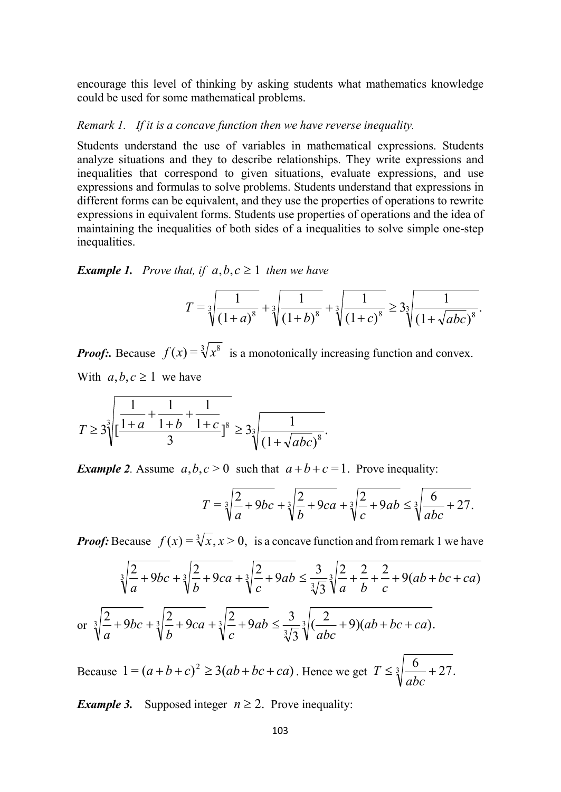encourage this level of thinking by asking students what mathematics knowledge could be used for some mathematical problems.

#### Remark 1. If it is a concave function then we have reverse inequality.

Students understand the use of variables in mathematical expressions. Students analyze situations and they to describe relationships. They write expressions and inequalities that correspond to given situations, evaluate expressions, and use expressions and formulas to solve problems. Students understand that expressions in different forms can be equivalent, and they use the properties of operations to rewrite expressions in equivalent forms. Students use properties of operations and the idea of maintaining the inequalities of both sides of a inequalities to solve simple one-step inequalities.

**Example 1.** Prove that, if  $a, b, c \ge 1$  then we have

$$
T = \sqrt[3]{\frac{1}{(1+a)^8}} + \sqrt[3]{\frac{1}{(1+b)^8}} + \sqrt[3]{\frac{1}{(1+c)^8}} \ge 3\sqrt[3]{\frac{1}{(1+\sqrt{abc})^8}}.
$$

**Proof:.** Because  $f(x) = \sqrt[3]{x^8}$  is a monotonically increasing function and convex. With  $a, b, c \ge 1$  we have

$$
T \ge 3 \sqrt[3]{\left[\frac{1}{1+a} + \frac{1}{1+b} + \frac{1}{1+c}\right]^8} \ge 3 \sqrt[3]{\frac{1}{(1+\sqrt{abc})^8}}.
$$

**Example 2.** Assume  $a, b, c > 0$  such that  $a+b+c=1$ . Prove inequality:

$$
T = \sqrt[3]{\frac{2}{a} + 9bc} + \sqrt[3]{\frac{2}{b} + 9ca} + \sqrt[3]{\frac{2}{c} + 9ab} \le \sqrt[3]{\frac{6}{abc} + 27}.
$$

**Proof:** Because  $f(x) = \sqrt[3]{x}$ ,  $x > 0$ , is a concave function and from remark 1 we have

$$
\sqrt[3]{\frac{2}{a} + 9bc} + \sqrt[3]{\frac{2}{b} + 9ca} + \sqrt[3]{\frac{2}{c} + 9ab} \le \frac{3}{\sqrt[3]{3}} \sqrt[3]{\frac{2}{a} + \frac{2}{b} + \frac{2}{c} + 9(ab + bc + ca)}
$$
  
or 
$$
\sqrt[3]{\frac{2}{a} + 9bc} + \sqrt[3]{\frac{2}{b} + 9ca} + \sqrt[3]{\frac{2}{c} + 9ab} \le \frac{3}{\sqrt[3]{3}} \sqrt[3]{(\frac{2}{abc} + 9)(ab + bc + ca)}.
$$

Because  $1 = (a+b+c)^2 \ge 3(ab+bc+ca)$ . Hence we get  $T \le \sqrt[3]{\frac{6}{1}} + 27$ . abc T

*Example 3.* Supposed integer  $n \ge 2$ . Prove inequality: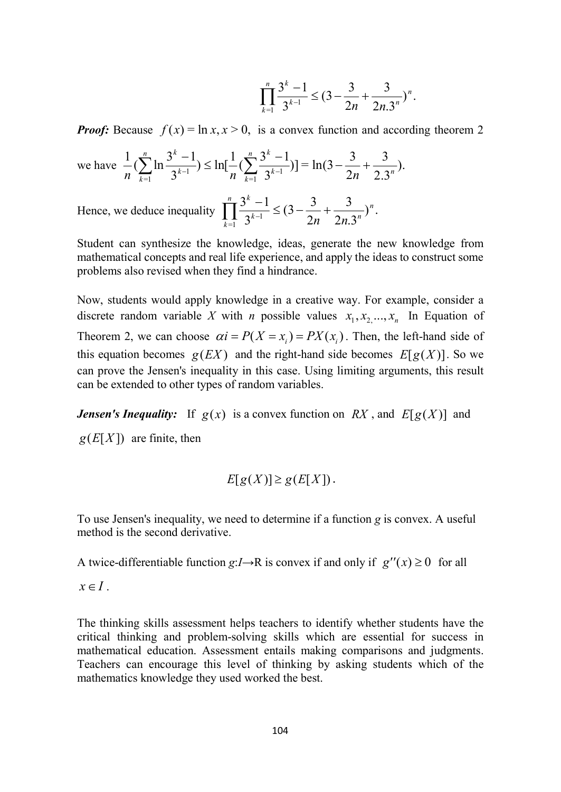$$
\prod_{k=1}^n \frac{3^k - 1}{3^{k-1}} \leq (3 - \frac{3}{2n} + \frac{3}{2n \cdot 3^n})^n.
$$

**Proof:** Because  $f(x) = \ln x, x > 0$ , is a convex function and according theorem 2

we have 
$$
\frac{1}{n} \left( \sum_{k=1}^{n} \ln \frac{3^{k} - 1}{3^{k-1}} \right) \le \ln[\frac{1}{n} \left( \sum_{k=1}^{n} \frac{3^{k} - 1}{3^{k-1}} \right)] = \ln(3 - \frac{3}{2n} + \frac{3}{2 \cdot 3^{n}}).
$$

Hence, we deduce inequality  $\left[ \frac{\sum_{i=1}^{n} \leq (3 - \frac{3}{2} + \frac{3}{2})^n \right]^{n}}{2^{n+1}}$ .  $2n.3'$ 3  $\mathbf{2}$  $(3-\frac{3}{2})$  $3<sup>1</sup>$  $3^{k} - 1$  $\frac{1}{-1}$  3<sup>k-1</sup> n  $k-1$   $\sim$   $2n$   $2n$ n  $2^k$  $\sum_{k=1}^{\infty} 3^{k-1}$  2n 2n.  $\prod_{1}^{n} \frac{3^{k}-1}{3^{k-1}} \leq (3-\frac{3}{2n}+$ 

Student can synthesize the knowledge, ideas, generate the new knowledge from mathematical concepts and real life experience, and apply the ideas to construct some problems also revised when they find a hindrance.

Now, students would apply knowledge in a creative way. For example, consider a discrete random variable X with *n* possible values  $x_1, x_2, ..., x_n$  In Equation of Theorem 2, we can choose  $\alpha i = P(X = x_i) = PX(x_i)$ . Then, the left-hand side of this equation becomes  $g(EX)$  and the right-hand side becomes  $E[g(X)]$ . So we can prove the Jensen's inequality in this case. Using limiting arguments, this result can be extended to other types of random variables.

**Jensen's Inequality:** If  $g(x)$  is a convex function on RX, and  $E[g(X)]$  and  $g(E[X])$  are finite, then

$$
E[g(X)] \ge g(E[X]).
$$

To use Jensen's inequality, we need to determine if a function g is convex. A useful method is the second derivative.

A twice-differentiable function  $g: I \rightarrow R$  is convex if and only if  $g''(x) \ge 0$  for all

 $x \in I$ .

The thinking skills assessment helps teachers to identify whether students have the critical thinking and problem-solving skills which are essential for success in mathematical education. Assessment entails making comparisons and judgments. Teachers can encourage this level of thinking by asking students which of the mathematics knowledge they used worked the best.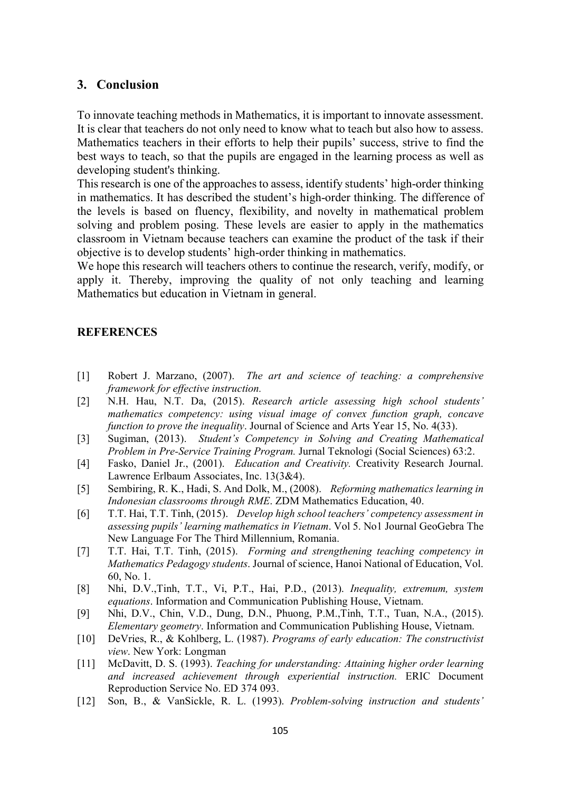## 3. Conclusion

To innovate teaching methods in Mathematics, it is important to innovate assessment. It is clear that teachers do not only need to know what to teach but also how to assess. Mathematics teachers in their efforts to help their pupils' success, strive to find the best ways to teach, so that the pupils are engaged in the learning process as well as developing student's thinking.

This research is one of the approaches to assess, identify students' high-order thinking in mathematics. It has described the student's high-order thinking. The difference of the levels is based on fluency, flexibility, and novelty in mathematical problem solving and problem posing. These levels are easier to apply in the mathematics classroom in Vietnam because teachers can examine the product of the task if their objective is to develop students' high-order thinking in mathematics.

We hope this research will teachers others to continue the research, verify, modify, or apply it. Thereby, improving the quality of not only teaching and learning Mathematics but education in Vietnam in general.

## **REFERENCES**

- [1] Robert J. Marzano, (2007). The art and science of teaching: a comprehensive framework for effective instruction.
- [2] N.H. Hau, N.T. Da, (2015). Research article assessing high school students' mathematics competency: using visual image of convex function graph, concave function to prove the inequality. Journal of Science and Arts Year 15, No. 4(33).
- [3] Sugiman, (2013). Student's Competency in Solving and Creating Mathematical Problem in Pre-Service Training Program. Jurnal Teknologi (Social Sciences) 63:2.
- [4] Fasko, Daniel Jr., (2001). Education and Creativity. Creativity Research Journal. Lawrence Erlbaum Associates, Inc. 13(3&4).
- [5] Sembiring, R. K., Hadi, S. And Dolk, M., (2008). Reforming mathematics learning in Indonesian classrooms through RME. ZDM Mathematics Education, 40.
- [6] T.T. Hai, T.T. Tinh, (2015). Develop high school teachers' competency assessment in assessing pupils' learning mathematics in Vietnam. Vol 5. No1 Journal GeoGebra The New Language For The Third Millennium, Romania.
- [7] T.T. Hai, T.T. Tinh, (2015). Forming and strengthening teaching competency in Mathematics Pedagogy students. Journal of science, Hanoi National of Education, Vol. 60, No. 1.
- [8] Nhi, D.V.,Tinh, T.T., Vi, P.T., Hai, P.D., (2013). Inequality, extremum, system equations. Information and Communication Publishing House, Vietnam.
- [9] Nhi, D.V., Chin, V.D., Dung, D.N., Phuong, P.M.,Tinh, T.T., Tuan, N.A., (2015). Elementary geometry. Information and Communication Publishing House, Vietnam.
- [10] DeVries, R., & Kohlberg, L. (1987). Programs of early education: The constructivist view. New York: Longman
- [11] McDavitt, D. S. (1993). Teaching for understanding: Attaining higher order learning and increased achievement through experiential instruction. ERIC Document Reproduction Service No. ED 374 093.
- [12] Son, B., & VanSickle, R. L. (1993). Problem-solving instruction and students'